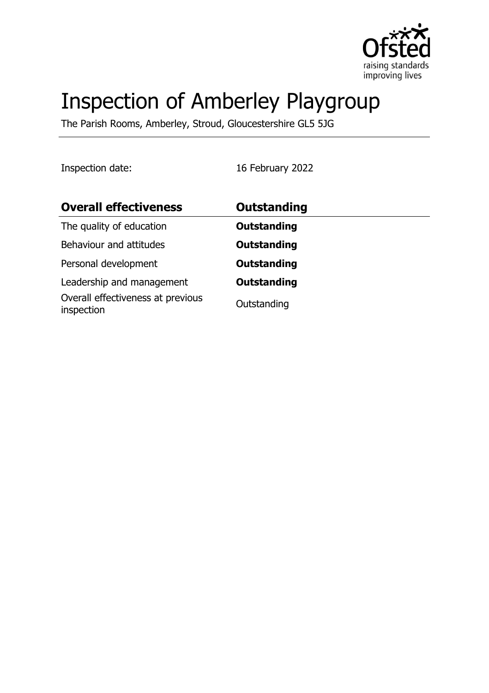

# Inspection of Amberley Playgroup

The Parish Rooms, Amberley, Stroud, Gloucestershire GL5 5JG

Inspection date: 16 February 2022

| <b>Overall effectiveness</b>                    | <b>Outstanding</b> |
|-------------------------------------------------|--------------------|
| The quality of education                        | <b>Outstanding</b> |
| Behaviour and attitudes                         | <b>Outstanding</b> |
| Personal development                            | <b>Outstanding</b> |
| Leadership and management                       | <b>Outstanding</b> |
| Overall effectiveness at previous<br>inspection | Outstanding        |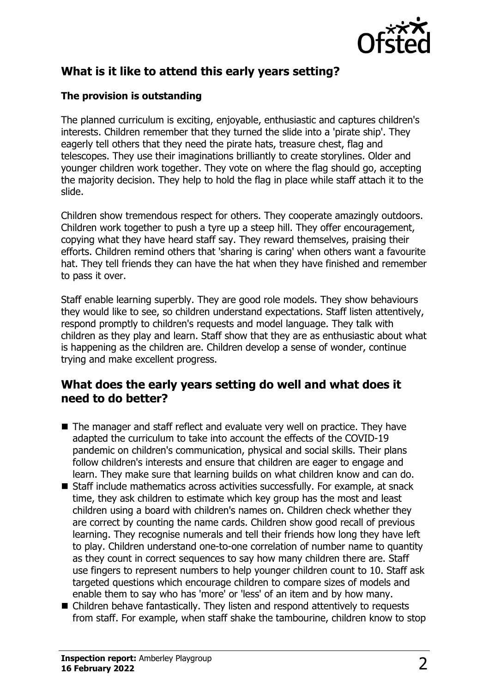

# **What is it like to attend this early years setting?**

#### **The provision is outstanding**

The planned curriculum is exciting, enjoyable, enthusiastic and captures children's interests. Children remember that they turned the slide into a 'pirate ship'. They eagerly tell others that they need the pirate hats, treasure chest, flag and telescopes. They use their imaginations brilliantly to create storylines. Older and younger children work together. They vote on where the flag should go, accepting the majority decision. They help to hold the flag in place while staff attach it to the slide.

Children show tremendous respect for others. They cooperate amazingly outdoors. Children work together to push a tyre up a steep hill. They offer encouragement, copying what they have heard staff say. They reward themselves, praising their efforts. Children remind others that 'sharing is caring' when others want a favourite hat. They tell friends they can have the hat when they have finished and remember to pass it over.

Staff enable learning superbly. They are good role models. They show behaviours they would like to see, so children understand expectations. Staff listen attentively, respond promptly to children's requests and model language. They talk with children as they play and learn. Staff show that they are as enthusiastic about what is happening as the children are. Children develop a sense of wonder, continue trying and make excellent progress.

#### **What does the early years setting do well and what does it need to do better?**

- $\blacksquare$  The manager and staff reflect and evaluate very well on practice. They have adapted the curriculum to take into account the effects of the COVID-19 pandemic on children's communication, physical and social skills. Their plans follow children's interests and ensure that children are eager to engage and learn. They make sure that learning builds on what children know and can do.
- $\blacksquare$  Staff include mathematics across activities successfully. For example, at snack time, they ask children to estimate which key group has the most and least children using a board with children's names on. Children check whether they are correct by counting the name cards. Children show good recall of previous learning. They recognise numerals and tell their friends how long they have left to play. Children understand one-to-one correlation of number name to quantity as they count in correct sequences to say how many children there are. Staff use fingers to represent numbers to help younger children count to 10. Staff ask targeted questions which encourage children to compare sizes of models and enable them to say who has 'more' or 'less' of an item and by how many.
- $\blacksquare$  Children behave fantastically. They listen and respond attentively to requests from staff. For example, when staff shake the tambourine, children know to stop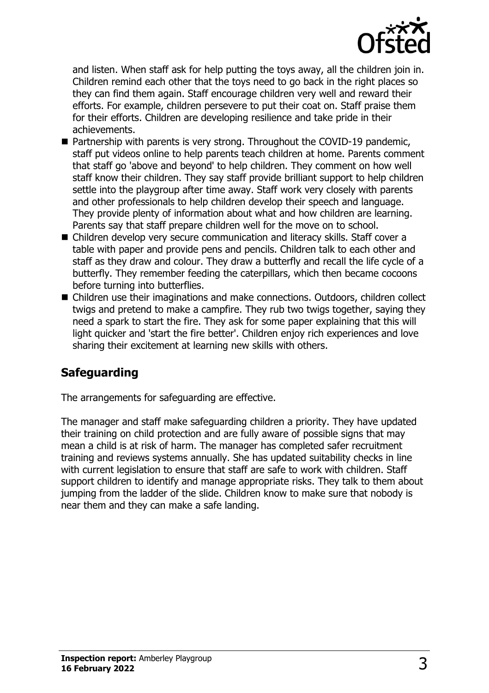

and listen. When staff ask for help putting the toys away, all the children join in. Children remind each other that the toys need to go back in the right places so they can find them again. Staff encourage children very well and reward their efforts. For example, children persevere to put their coat on. Staff praise them for their efforts. Children are developing resilience and take pride in their achievements.

- $\blacksquare$  Partnership with parents is very strong. Throughout the COVID-19 pandemic, staff put videos online to help parents teach children at home. Parents comment that staff go 'above and beyond' to help children. They comment on how well staff know their children. They say staff provide brilliant support to help children settle into the playgroup after time away. Staff work very closely with parents and other professionals to help children develop their speech and language. They provide plenty of information about what and how children are learning. Parents say that staff prepare children well for the move on to school.
- $\blacksquare$  Children develop very secure communication and literacy skills. Staff cover a table with paper and provide pens and pencils. Children talk to each other and staff as they draw and colour. They draw a butterfly and recall the life cycle of a butterfly. They remember feeding the caterpillars, which then became cocoons before turning into butterflies.
- Children use their imaginations and make connections. Outdoors, children collect twigs and pretend to make a campfire. They rub two twigs together, saying they need a spark to start the fire. They ask for some paper explaining that this will light quicker and 'start the fire better'. Children enjoy rich experiences and love sharing their excitement at learning new skills with others.

## **Safeguarding**

The arrangements for safeguarding are effective.

The manager and staff make safeguarding children a priority. They have updated their training on child protection and are fully aware of possible signs that may mean a child is at risk of harm. The manager has completed safer recruitment training and reviews systems annually. She has updated suitability checks in line with current legislation to ensure that staff are safe to work with children. Staff support children to identify and manage appropriate risks. They talk to them about jumping from the ladder of the slide. Children know to make sure that nobody is near them and they can make a safe landing.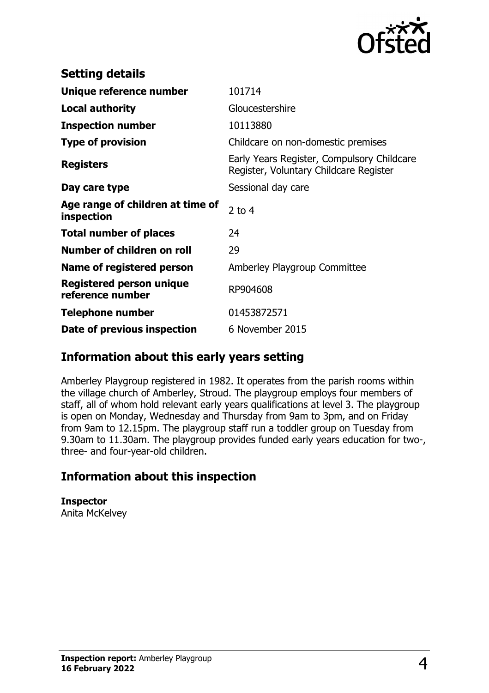

| <b>Setting details</b>                              |                                                                                      |
|-----------------------------------------------------|--------------------------------------------------------------------------------------|
| Unique reference number                             | 101714                                                                               |
| Local authority                                     | Gloucestershire                                                                      |
| <b>Inspection number</b>                            | 10113880                                                                             |
| <b>Type of provision</b>                            | Childcare on non-domestic premises                                                   |
| <b>Registers</b>                                    | Early Years Register, Compulsory Childcare<br>Register, Voluntary Childcare Register |
| Day care type                                       | Sessional day care                                                                   |
| Age range of children at time of<br>inspection      | $2$ to 4                                                                             |
| <b>Total number of places</b>                       | 24                                                                                   |
| Number of children on roll                          | 29                                                                                   |
| Name of registered person                           | Amberley Playgroup Committee                                                         |
| <b>Registered person unique</b><br>reference number | RP904608                                                                             |
| <b>Telephone number</b>                             | 01453872571                                                                          |
| Date of previous inspection                         | 6 November 2015                                                                      |

### **Information about this early years setting**

Amberley Playgroup registered in 1982. It operates from the parish rooms within the village church of Amberley, Stroud. The playgroup employs four members of staff, all of whom hold relevant early years qualifications at level 3. The playgroup is open on Monday, Wednesday and Thursday from 9am to 3pm, and on Friday from 9am to 12.15pm. The playgroup staff run a toddler group on Tuesday from 9.30am to 11.30am. The playgroup provides funded early years education for two-, three- and four-year-old children.

## **Information about this inspection**

**Inspector** Anita McKelvey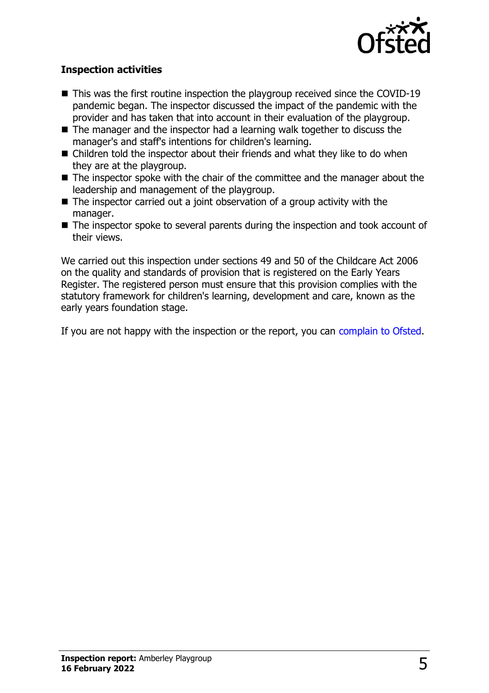

#### **Inspection activities**

- $\blacksquare$  This was the first routine inspection the playgroup received since the COVID-19 pandemic began. The inspector discussed the impact of the pandemic with the provider and has taken that into account in their evaluation of the playgroup.
- $\blacksquare$  The manager and the inspector had a learning walk together to discuss the manager's and staff's intentions for children's learning.
- $\blacksquare$  Children told the inspector about their friends and what they like to do when they are at the playgroup.
- $\blacksquare$  The inspector spoke with the chair of the committee and the manager about the leadership and management of the playgroup.
- $\blacksquare$  The inspector carried out a joint observation of a group activity with the manager.
- $\blacksquare$  The inspector spoke to several parents during the inspection and took account of their views.

We carried out this inspection under sections 49 and 50 of the Childcare Act 2006 on the quality and standards of provision that is registered on the Early Years Register. The registered person must ensure that this provision complies with the statutory framework for children's learning, development and care, known as the early years foundation stage.

If you are not happy with the inspection or the report, you can [complain to Ofsted](http://www.gov.uk/complain-ofsted-report).